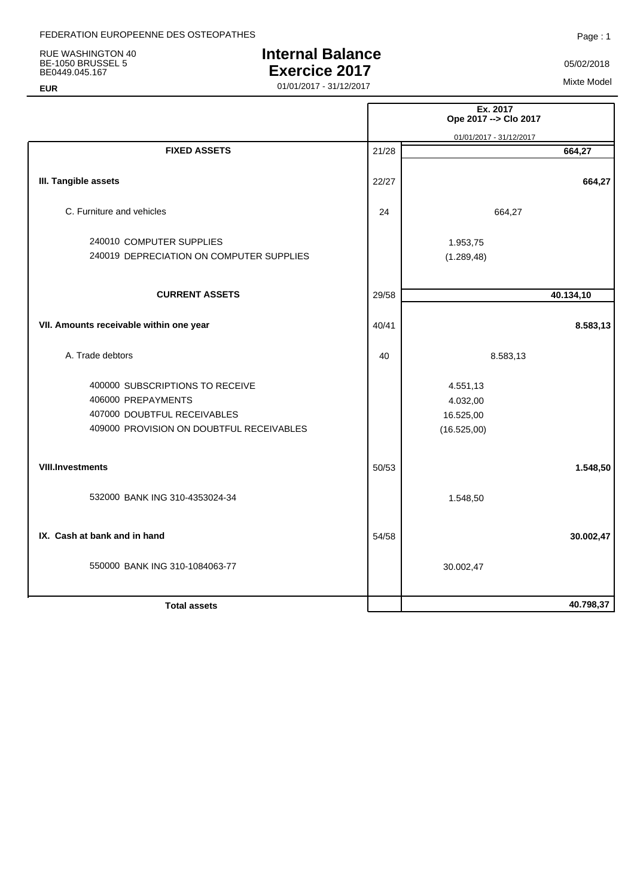RUE WASHINGTON 40 BE-1050 BRUSSEL 5 BE0449.045.167

## **EUR**

# **Internal Balance Exercice 2017**

01/01/2017 - 31/12/2017<br>
01/01/2017 - 31/12/2017

05/02/2018

|       | Ex. 2017<br>Ope 2017 -- > Clo 2017               |
|-------|--------------------------------------------------|
|       | 01/01/2017 - 31/12/2017                          |
| 21/28 | 664,27                                           |
| 22/27 | 664,27                                           |
| 24    | 664,27                                           |
|       | 1.953,75<br>(1.289, 48)                          |
| 29/58 | 40.134,10                                        |
| 40/41 | 8.583,13                                         |
| 40    | 8.583,13                                         |
|       | 4.551,13<br>4.032,00<br>16.525,00<br>(16.525,00) |
| 50/53 | 1.548,50                                         |
|       | 1.548,50                                         |
| 54/58 | 30.002,47                                        |
|       | 30.002,47                                        |
|       | 40.798,37                                        |
|       |                                                  |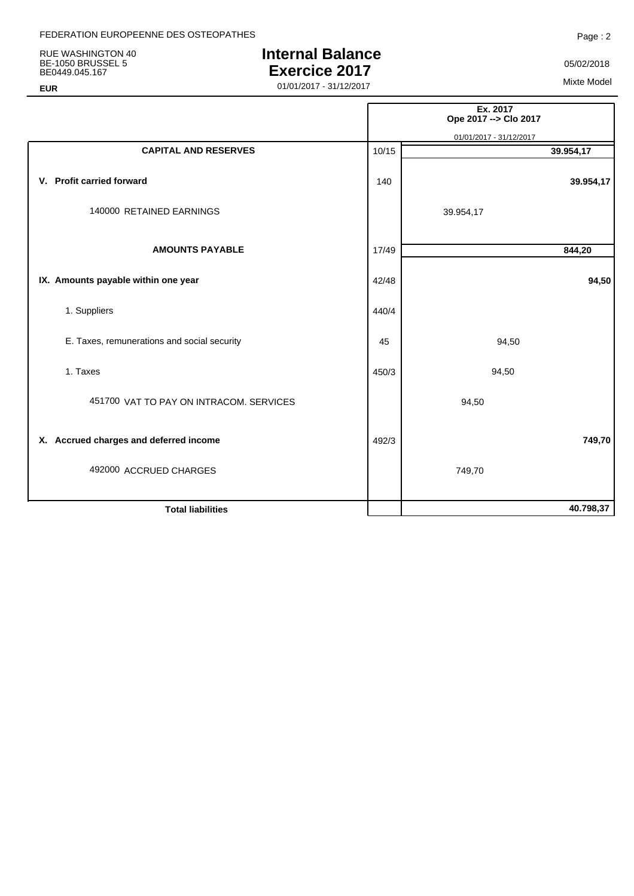RUE WASHINGTON 40 BE-1050 BRUSSEL 5 BE0449.045.167

## **EUR**

# **Internal Balance Exercice 2017**

05/02/2018

01/01/2017 - 31/12/2017<br>
01/01/2017 - 31/12/2017

|                                             |       | Ex. 2017<br>Ope 2017 -- > Clo 2017 |
|---------------------------------------------|-------|------------------------------------|
|                                             |       | 01/01/2017 - 31/12/2017            |
| <b>CAPITAL AND RESERVES</b>                 | 10/15 | 39.954,17                          |
| V. Profit carried forward                   | 140   | 39.954,17                          |
| 140000 RETAINED EARNINGS                    |       | 39.954,17                          |
| <b>AMOUNTS PAYABLE</b>                      | 17/49 | 844,20                             |
| IX. Amounts payable within one year         | 42/48 | 94,50                              |
| 1. Suppliers                                | 440/4 |                                    |
| E. Taxes, remunerations and social security | 45    | 94,50                              |
| 1. Taxes                                    | 450/3 | 94,50                              |
| 451700 VAT TO PAY ON INTRACOM. SERVICES     |       | 94,50                              |
| X. Accrued charges and deferred income      | 492/3 | 749,70                             |
| 492000 ACCRUED CHARGES                      |       | 749,70                             |
| <b>Total liabilities</b>                    |       | 40.798,37                          |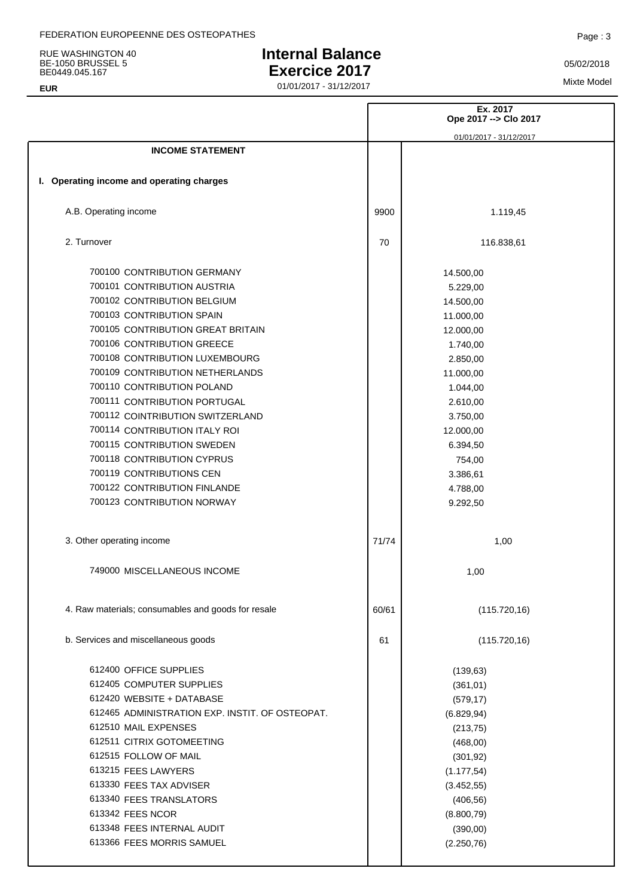RUE WASHINGTON 40 BE-1050 BRUSSEL 5 BE0449.045.167

**EUR**

# **Internal Balance Exercice 2017**

Mixte Model 01/01/2017 - 31/12/2017

|                                                    |       | Ex. 2017<br>Ope 2017 -- > Clo 2017 |
|----------------------------------------------------|-------|------------------------------------|
|                                                    |       | 01/01/2017 - 31/12/2017            |
| <b>INCOME STATEMENT</b>                            |       |                                    |
|                                                    |       |                                    |
| I. Operating income and operating charges          |       |                                    |
| A.B. Operating income                              | 9900  | 1.119,45                           |
| 2. Turnover                                        | 70    | 116.838,61                         |
| 700100 CONTRIBUTION GERMANY                        |       | 14.500,00                          |
| 700101 CONTRIBUTION AUSTRIA                        |       | 5.229,00                           |
| 700102 CONTRIBUTION BELGIUM                        |       | 14.500,00                          |
| 700103 CONTRIBUTION SPAIN                          |       | 11.000,00                          |
| 700105 CONTRIBUTION GREAT BRITAIN                  |       | 12.000,00                          |
| 700106 CONTRIBUTION GREECE                         |       | 1.740,00                           |
| 700108 CONTRIBUTION LUXEMBOURG                     |       | 2.850,00                           |
| 700109 CONTRIBUTION NETHERLANDS                    |       | 11.000,00                          |
| 700110 CONTRIBUTION POLAND                         |       | 1.044,00                           |
| 700111 CONTRIBUTION PORTUGAL                       |       | 2.610,00                           |
| 700112 COINTRIBUTION SWITZERLAND                   |       | 3.750,00                           |
| 700114 CONTRIBUTION ITALY ROI                      |       | 12.000,00                          |
| 700115 CONTRIBUTION SWEDEN                         |       | 6.394,50                           |
| 700118 CONTRIBUTION CYPRUS                         |       | 754,00                             |
| 700119 CONTRIBUTIONS CEN                           |       | 3.386,61                           |
| 700122 CONTRIBUTION FINLANDE                       |       | 4.788,00                           |
| 700123 CONTRIBUTION NORWAY                         |       | 9.292,50                           |
| 3. Other operating income                          | 71/74 | 1,00                               |
| 749000 MISCELLANEOUS INCOME                        |       | 1,00                               |
| 4. Raw materials; consumables and goods for resale | 60/61 | (115.720, 16)                      |
| b. Services and miscellaneous goods                | 61    | (115.720, 16)                      |
| 612400 OFFICE SUPPLIES                             |       | (139, 63)                          |
| 612405 COMPUTER SUPPLIES                           |       | (361, 01)                          |
| 612420 WEBSITE + DATABASE                          |       | (579, 17)                          |
| 612465 ADMINISTRATION EXP. INSTIT. OF OSTEOPAT.    |       | (6.829, 94)                        |
| 612510 MAIL EXPENSES                               |       | (213, 75)                          |
| 612511 CITRIX GOTOMEETING                          |       | (468,00)                           |
| 612515 FOLLOW OF MAIL                              |       | (301, 92)                          |
| 613215 FEES LAWYERS                                |       | (1.177, 54)                        |
| 613330 FEES TAX ADVISER                            |       | (3.452, 55)                        |
| 613340 FEES TRANSLATORS                            |       | (406, 56)                          |
| 613342 FEES NCOR                                   |       | (8.800, 79)                        |
| 613348 FEES INTERNAL AUDIT                         |       | (390,00)                           |
| 613366 FEES MORRIS SAMUEL                          |       | (2.250, 76)                        |
|                                                    |       |                                    |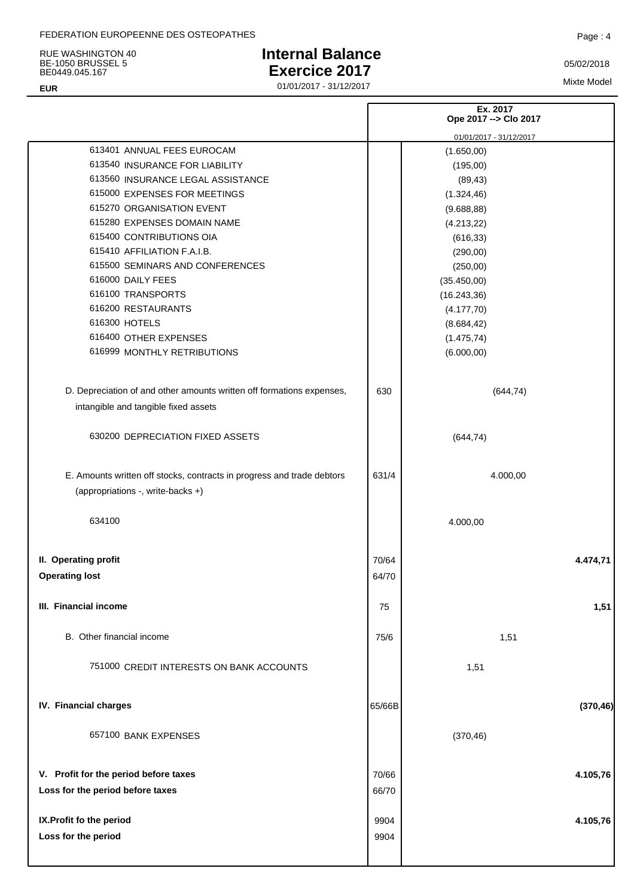RUE WASHINGTON 40 BE-1050 BRUSSEL 5 BE0449.045.167

## **EUR**

# **Internal Balance Exercice 2017**

Mixte Model 01/01/2017 - 31/12/2017

|                                                                        | Ex. 2017<br>Ope 2017 -- > Clo 2017 |                         |
|------------------------------------------------------------------------|------------------------------------|-------------------------|
|                                                                        |                                    | 01/01/2017 - 31/12/2017 |
| 613401 ANNUAL FEES EUROCAM                                             |                                    | (1.650,00)              |
| 613540 INSURANCE FOR LIABILITY                                         |                                    | (195,00)                |
| 613560 INSURANCE LEGAL ASSISTANCE                                      |                                    | (89, 43)                |
| 615000 EXPENSES FOR MEETINGS                                           |                                    | (1.324, 46)             |
| 615270 ORGANISATION EVENT                                              |                                    | (9.688, 88)             |
| 615280 EXPENSES DOMAIN NAME                                            |                                    | (4.213, 22)             |
| 615400 CONTRIBUTIONS OIA                                               |                                    | (616, 33)               |
| 615410 AFFILIATION F.A.I.B.                                            |                                    | (290,00)                |
| 615500 SEMINARS AND CONFERENCES                                        |                                    | (250,00)                |
| 616000 DAILY FEES                                                      |                                    | (35.450,00)             |
| 616100 TRANSPORTS                                                      |                                    | (16.243, 36)            |
| 616200 RESTAURANTS                                                     |                                    | (4.177, 70)             |
| 616300 HOTELS                                                          |                                    | (8.684, 42)             |
| 616400 OTHER EXPENSES                                                  |                                    | (1.475, 74)             |
| 616999 MONTHLY RETRIBUTIONS                                            |                                    | (6.000, 00)             |
|                                                                        |                                    |                         |
| D. Depreciation of and other amounts written off formations expenses,  | 630                                | (644, 74)               |
| intangible and tangible fixed assets                                   |                                    |                         |
| 630200 DEPRECIATION FIXED ASSETS                                       |                                    | (644, 74)               |
| E. Amounts written off stocks, contracts in progress and trade debtors | 631/4                              | 4.000,00                |
| (appropriations -, write-backs +)                                      |                                    |                         |
| 634100                                                                 |                                    | 4.000,00                |
| II. Operating profit                                                   | 70/64                              | 4.474,71                |
| <b>Operating lost</b>                                                  | 64/70                              |                         |
|                                                                        |                                    |                         |
| III. Financial income                                                  | 75                                 | 1,51                    |
| B. Other financial income                                              | 75/6                               | 1,51                    |
| 751000 CREDIT INTERESTS ON BANK ACCOUNTS                               |                                    | 1,51                    |
|                                                                        |                                    |                         |
| IV. Financial charges                                                  | 65/66B                             | (370, 46)               |
| 657100 BANK EXPENSES                                                   |                                    | (370, 46)               |
| V. Profit for the period before taxes                                  | 70/66                              | 4.105,76                |
| Loss for the period before taxes                                       | 66/70                              |                         |
|                                                                        |                                    |                         |
| IX. Profit fo the period                                               | 9904                               | 4.105,76                |
| Loss for the period                                                    | 9904                               |                         |
|                                                                        |                                    |                         |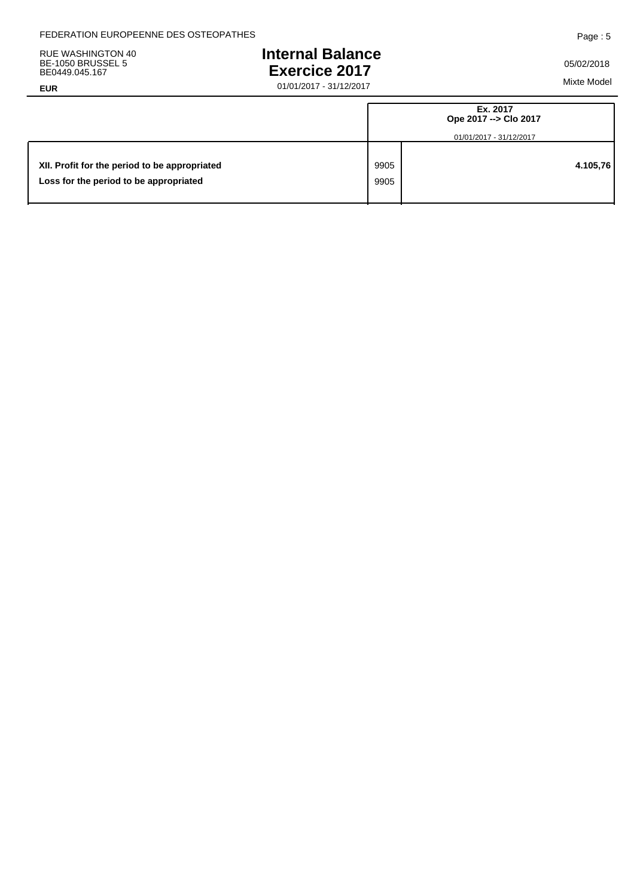RUE WASHINGTON 40 BE-1050 BRUSSEL 5 BE0449.045.167

### **EUR**

# **Internal Balance Exercice 2017**

Mixte Model 01/01/2017 - 31/12/2017

|                                                                                         |              | Ex. 2017<br>Ope 2017 --> Clo 2017<br>01/01/2017 - 31/12/2017 |
|-----------------------------------------------------------------------------------------|--------------|--------------------------------------------------------------|
| XII. Profit for the period to be appropriated<br>Loss for the period to be appropriated | 9905<br>9905 | 4.105,76                                                     |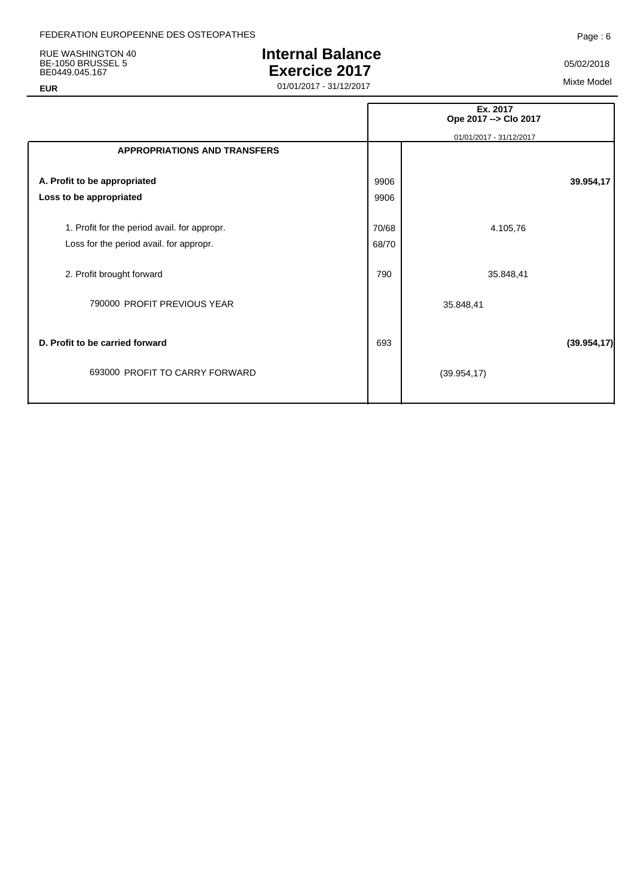RUE WASHINGTON 40 BE-1050 BRUSSEL 5 BE0449.045.167

# **Internal Balance Exercice 2017**

05/02/2018

01/01/2017 - 31/12/2017<br>
01/01/2017 - 31/12/2017

|                                                                   |       | Ex. 2017<br>Ope 2017 -- > Clo 2017 |
|-------------------------------------------------------------------|-------|------------------------------------|
|                                                                   |       | 01/01/2017 - 31/12/2017            |
| <b>APPROPRIATIONS AND TRANSFERS</b>                               |       |                                    |
| A. Profit to be appropriated                                      | 9906  | 39.954,17                          |
| Loss to be appropriated                                           | 9906  |                                    |
| 1. Profit for the period avail. for appropr.                      | 70/68 | 4.105,76                           |
| Loss for the period avail. for appropr.                           | 68/70 |                                    |
| 2. Profit brought forward                                         | 790   | 35.848,41                          |
| 790000 PROFIT PREVIOUS YEAR                                       |       | 35.848,41                          |
| D. Profit to be carried forward<br>693000 PROFIT TO CARRY FORWARD | 693   | (39.954, 17)<br>(39.954, 17)       |

Page : 6

**EUR**